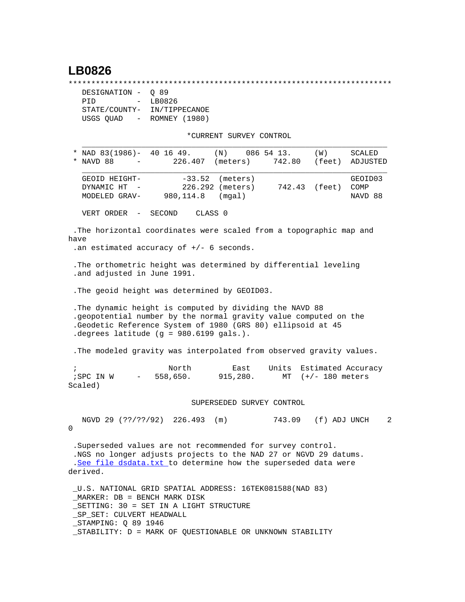## **LB0826**

\*\*\*\*\*\*\*\*\*\*\*\*\*\*\*\*\*\*\*\*\*\*\*\*\*\*\*\*\*\*\*\*\*\*\*\*\*\*\*\*\*\*\*\*\*\*\*\*\*\*\*\*\*\*\*\*\*\*\*\*\*\*\*\*\*\*\*\*\*\*\*

| DESIGNATION - 0 89                |               |
|-----------------------------------|---------------|
| PTD<br>$\sim$ 100 $\mu$           | LB0826        |
| STATE/COUNTY-                     | IN/TIPPECANOE |
| USGS QUAD<br>$\sim 100$ m $^{-1}$ | ROMNEY (1980) |

\*CURRENT SURVEY CONTROL

| * NAD $83(1986) - 40 16 49$ .<br>(N)<br>NAVD 88<br>226.407<br>(meters)<br>*<br>$ -$                                                                                                                                                                | 086 54 13.<br>742.80 (feet) | (W)               | SCALED<br>ADJUSTED         |
|----------------------------------------------------------------------------------------------------------------------------------------------------------------------------------------------------------------------------------------------------|-----------------------------|-------------------|----------------------------|
| $-33.52$<br>GEOID HEIGHT-<br>(meters)<br>226.292 (meters)<br>DYNAMIC HT<br>980, 114.8<br>MODELED GRAV-<br>(mqal)                                                                                                                                   |                             | 742.43 (feet)     | GEOID03<br>COMP<br>NAVD 88 |
| VERT ORDER<br>SECOND<br>CLASS 0<br>$\sim$ $-$                                                                                                                                                                                                      |                             |                   |                            |
| . The horizontal coordinates were scaled from a topographic map and<br>have<br>.an estimated accuracy of $+/-$ 6 seconds.                                                                                                                          |                             |                   |                            |
| . The orthometric height was determined by differential leveling<br>.and adjusted in June 1991.                                                                                                                                                    |                             |                   |                            |
| . The geoid height was determined by GEOID03.                                                                                                                                                                                                      |                             |                   |                            |
| . The dynamic height is computed by dividing the NAVD 88<br>.geopotential number by the normal gravity value computed on the<br>.Geodetic Reference System of 1980 (GRS 80) ellipsoid at 45<br>.degrees latitude (g = 980.6199 gals.).             |                             |                   |                            |
| . The modeled gravity was interpolated from observed gravity values.                                                                                                                                                                               |                             |                   |                            |
| North<br>East<br>$\ddot{i}$<br>$-558,650.$<br>915,280.<br>;SPC IN W<br>Scaled)                                                                                                                                                                     | Units<br>MT                 | $(+/- 180$ meters | Estimated Accuracy         |
| SUPERSEDED SURVEY CONTROL                                                                                                                                                                                                                          |                             |                   |                            |
| NGVD 29 (??/??/92) 226.493 (m)<br>0                                                                                                                                                                                                                | 743.09 (f) ADJ UNCH         |                   | $\overline{2}$             |
| .Superseded values are not recommended for survey control.<br>.NGS no longer adjusts projects to the NAD 27 or NGVD 29 datums.<br>.See file dsdata.txt to determine how the superseded data were<br>derived.                                       |                             |                   |                            |
| U.S. NATIONAL GRID SPATIAL ADDRESS: 16TEK081588(NAD 83)<br>MARKER: DB = BENCH MARK DISK<br>SETTING: 30 = SET IN A LIGHT STRUCTURE<br>SP SET: CULVERT HEADWALL<br>_STAMPING: Q 89 1946<br>_STABILITY: D = MARK OF QUESTIONABLE OR UNKNOWN STABILITY |                             |                   |                            |